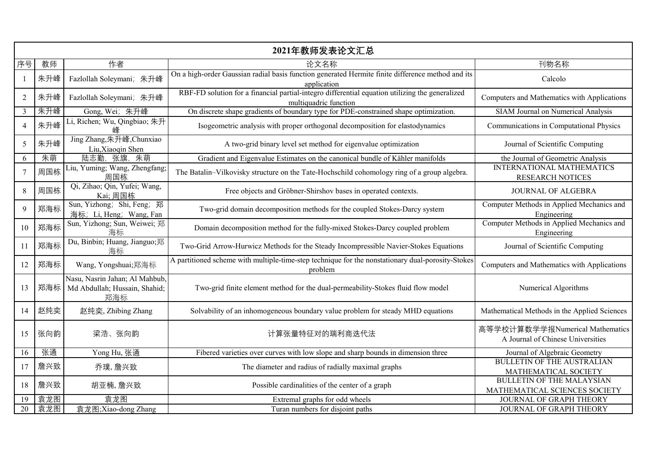| 2021年教师发表论文汇总   |     |                                                                        |                                                                                                                          |                                                                      |
|-----------------|-----|------------------------------------------------------------------------|--------------------------------------------------------------------------------------------------------------------------|----------------------------------------------------------------------|
| 序号              | 教师  | 作者                                                                     | 论文名称                                                                                                                     | 刊物名称                                                                 |
|                 | 朱升峰 | Fazlollah Soleymani; 朱升峰                                               | On a high-order Gaussian radial basis function generated Hermite finite difference method and its<br>application         | Calcolo                                                              |
| $\overline{2}$  | 朱升峰 | Fazlollah Soleymani; 朱升峰                                               | RBF-FD solution for a financial partial-integro differential equation utilizing the generalized<br>multiquadric function | Computers and Mathematics with Applications                          |
| $\mathfrak{Z}$  | 朱升峰 | Gong, Wei; 朱升峰                                                         | On discrete shape gradients of boundary type for PDE-constrained shape optimization.                                     | <b>SIAM Journal on Numerical Analysis</b>                            |
| $\overline{4}$  | 朱升峰 | Li, Richen; Wu, Qingbiao; 朱升<br>峰                                      | Isogeometric analysis with proper orthogonal decomposition for elastodynamics                                            | Communications in Computational Physics                              |
| 5               | 朱升峰 | Jing Zhang, 朱升峰, Chunxiao<br>Liu, Xiaoqin Shen                         | A two-grid binary level set method for eigenvalue optimization                                                           | Journal of Scientific Computing                                      |
| 6               | 朱萌  | 朱萌<br>陆志勤<br>张旗.                                                       | Gradient and Eigenvalue Estimates on the canonical bundle of Kähler manifolds                                            | the Journal of Geometric Analysis                                    |
| $\tau$          | 周国栋 | Liu, Yuming; Wang, Zhengfang;<br>周国栋                                   | The Batalin-Vilkovisky structure on the Tate-Hochschild cohomology ring of a group algebra.                              | <b>INTERNATIONAL MATHEMATICS</b><br><b>RESEARCH NOTICES</b>          |
| 8               | 周国栋 | Qi, Zihao; Qin, Yufei; Wang,<br>Kai; 周国栋                               | Free objects and Gröbner-Shirshov bases in operated contexts.                                                            | <b>JOURNAL OF ALGEBRA</b>                                            |
| 9               | 郑海标 | Sun, Yizhong; Shi, Feng; 郑<br>海标; Li, Heng; Wang, Fan                  | Two-grid domain decomposition methods for the coupled Stokes-Darcy system                                                | Computer Methods in Applied Mechanics and<br>Engineering             |
| 10              | 郑海标 | Sun, Yizhong; Sun, Weiwei; 郑<br>海标                                     | Domain decomposition method for the fully-mixed Stokes-Darcy coupled problem                                             | Computer Methods in Applied Mechanics and<br>Engineering             |
| 11              | 郑海标 | Du, Binbin; Huang, Jianguo;郑<br>海标                                     | Two-Grid Arrow-Hurwicz Methods for the Steady Incompressible Navier-Stokes Equations                                     | Journal of Scientific Computing                                      |
| 12              | 郑海标 | Wang, Yongshuai;郑海标                                                    | A partitioned scheme with multiple-time-step technique for the nonstationary dual-porosity-Stokes<br>problem             | Computers and Mathematics with Applications                          |
| 13              | 郑海标 | Nasu, Nasrin Jahan; Al Mahbub,<br>Md Abdullah; Hussain, Shahid;<br>郑海标 | Two-grid finite element method for the dual-permeability-Stokes fluid flow model                                         | Numerical Algorithms                                                 |
| 14              | 赵纯奕 | 赵纯奕, Zhibing Zhang                                                     | Solvability of an inhomogeneous boundary value problem for steady MHD equations                                          | Mathematical Methods in the Applied Sciences                         |
| 15              | 张向韵 | 梁浩、张向韵                                                                 | 计算张量特征对的瑞利商迭代法                                                                                                           | 高等学校计算数学学报Numerical Mathematics<br>A Journal of Chinese Universities |
| 16              | 张通  | Yong Hu, 张通                                                            | Fibered varieties over curves with low slope and sharp bounds in dimension three                                         | Journal of Algebraic Geometry                                        |
| 17              | 詹兴致 | 乔璞, 詹兴致                                                                | The diameter and radius of radially maximal graphs                                                                       | <b>BULLETIN OF THE AUSTRALIAN</b><br>MATHEMATICAL SOCIETY            |
| 18              | 詹兴致 | 胡亚楠, 詹兴致                                                               | Possible cardinalities of the center of a graph                                                                          | <b>BULLETIN OF THE MALAYSIAN</b><br>MATHEMATICAL SCIENCES SOCIETY    |
| 19              | 袁龙图 | 袁龙图                                                                    | Extremal graphs for odd wheels                                                                                           | JOURNAL OF GRAPH THEORY                                              |
| $\overline{20}$ | 袁龙图 | 袁龙图;Xiao-dong Zhang                                                    | Turan numbers for disjoint paths                                                                                         | JOURNAL OF GRAPH THEORY                                              |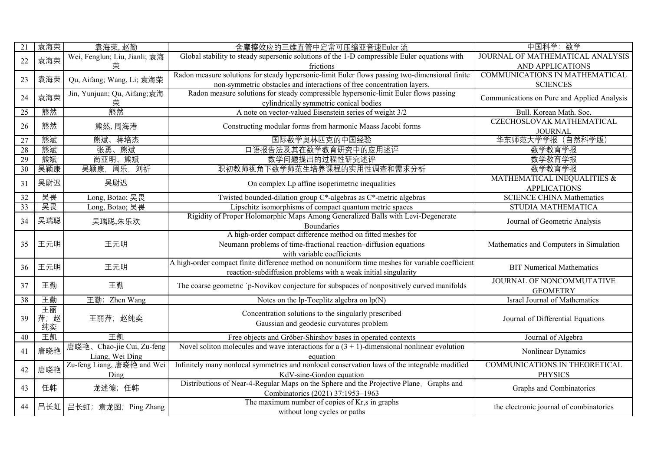| 21 | 袁海荣     | 袁海荣, 赵勤                       | 含摩擦效应的三维直管中定常可压缩亚音速Euler 流                                                                       | 中国科学: 数学                                    |
|----|---------|-------------------------------|--------------------------------------------------------------------------------------------------|---------------------------------------------|
| 22 | 袁海荣     | Wei, Fenglun; Liu, Jianli; 袁海 | Global stability to steady supersonic solutions of the 1-D compressible Euler equations with     | JOURNAL OF MATHEMATICAL ANALYSIS            |
|    |         | 荣                             | frictions                                                                                        | AND APPLICATIONS                            |
| 23 | 袁海荣     | Qu, Aifang; Wang, Li; 袁海荣     | Radon measure solutions for steady hypersonic-limit Euler flows passing two-dimensional finite   | COMMUNICATIONS IN MATHEMATICAL              |
|    |         |                               | non-symmetric obstacles and interactions of free concentration layers.                           | <b>SCIENCES</b>                             |
| 24 | 袁海荣     | Jin, Yunjuan; Qu, Aifang;袁海   | Radon measure solutions for steady compressible hypersonic-limit Euler flows passing             | Communications on Pure and Applied Analysis |
|    |         | 荣                             | cylindrically symmetric conical bodies                                                           |                                             |
| 25 | 熊然      | 熊然                            | A note on vector-valued Eisenstein series of weight 3/2                                          | Bull. Korean Math. Soc.                     |
| 26 | 熊然      | 熊然, 周海港                       | Constructing modular forms from harmonic Maass Jacobi forms                                      | CZECHOSLOVAK MATHEMATICAL                   |
|    |         |                               |                                                                                                  | <b>JOURNAL</b>                              |
| 27 | 熊斌      | 熊斌、蒋培杰                        | 国际数学奥林匹克的中国经验                                                                                    | 华东师范大学学报 (自然科学版)                            |
| 28 | 熊斌      | 张勇、熊斌                         | 口语报告法及其在数学教育研究中的应用述评                                                                             | 数学教育学报                                      |
| 29 | 熊斌      | 尚亚明、熊斌                        | 数学问题提出的过程性研究述评                                                                                   | 数学教育学报                                      |
| 30 | 吴颖康     | 吴颖康, 周乐, 刘祈                   | 职初教师视角下数学师范生培养课程的实用性调查和需求分析                                                                      | 数学教育学报                                      |
| 31 | 吴尉迟     | 吴尉迟                           | On complex Lp affine isoperimetric inequalities                                                  | MATHEMATICAL INEQUALITIES &                 |
|    |         |                               |                                                                                                  | <b>APPLICATIONS</b>                         |
| 32 | 吴畏      | Long, Botao; 吴畏               | Twisted bounded-dilation group C*-algebras as C*-metric algebras                                 | <b>SCIENCE CHINA Mathematics</b>            |
| 33 | 吴畏      | Long, Botao; 吴畏               | Lipschitz isomorphisms of compact quantum metric spaces                                          | STUDIA MATHEMATICA                          |
| 34 | 吴瑞聪     | 吴瑞聪,朱乐欢                       | Rigidity of Proper Holomorphic Maps Among Generalized Balls with Levi-Degenerate                 |                                             |
|    |         |                               | Boundaries                                                                                       | Journal of Geometric Analysis               |
|    |         |                               | A high-order compact difference method on fitted meshes for                                      |                                             |
| 35 | 王元明     | 王元明                           | Neumann problems of time-fractional reaction-diffusion equations                                 | Mathematics and Computers in Simulation     |
|    |         |                               | with variable coefficients                                                                       |                                             |
| 36 | 王元明     | 王元明                           | A high-order compact finite difference method on nonuniform time meshes for variable coefficient | <b>BIT Numerical Mathematics</b>            |
|    |         |                               | reaction-subdiffusion problems with a weak initial singularity                                   |                                             |
| 37 | 王勤      | 王勤                            | The coarse geometric `p-Novikov conjecture for subspaces of nonpositively curved manifolds       | JOURNAL OF NONCOMMUTATIVE                   |
|    |         |                               |                                                                                                  | <b>GEOMETRY</b>                             |
| 38 | 王勤      | 王勤; Zhen Wang                 | Notes on the lp-Toeplitz algebra on $lp(N)$                                                      | Israel Journal of Mathematics               |
|    | 王丽      |                               | Concentration solutions to the singularly prescribed                                             |                                             |
| 39 | 萍;<br>赵 | 王丽萍;赵纯奕                       | Gaussian and geodesic curvatures problem                                                         | Journal of Differential Equations           |
|    | 纯奕      |                               |                                                                                                  |                                             |
| 40 | 王凯      | 王凯                            | Free objects and Gröber-Shirshov bases in operated contexts                                      | Journal of Algebra                          |
| 41 | 唐晓艳     | 唐晓艳、Chao-jie Cui, Zu-feng     | Novel soliton molecules and wave interactions for a $(3 + 1)$ -dimensional nonlinear evolution   | Nonlinear Dynamics                          |
|    |         | Liang, Wei Ding               | equation                                                                                         |                                             |
| 42 | 唐晓艳     | Zu-feng Liang, 唐晓艳 and Wei    | Infinitely many nonlocal symmetries and nonlocal conservation laws of the integrable modified    | COMMUNICATIONS IN THEORETICAL               |
|    |         | Ding                          | KdV-sine-Gordon equation                                                                         | <b>PHYSICS</b>                              |
| 43 | 任韩      | 龙述德; 任韩                       | Distributions of Near-4-Regular Maps on the Sphere and the Projective Plane, Graphs and          | Graphs and Combinatorics                    |
|    |         |                               | Combinatorics (2021) 37:1953-1963                                                                |                                             |
| 44 | 吕长虹     | 吕长虹; 袁龙图; Ping Zhang          | The maximum number of copies of Kr,s in graphs                                                   | the electronic journal of combinatorics     |
|    |         |                               | without long cycles or paths                                                                     |                                             |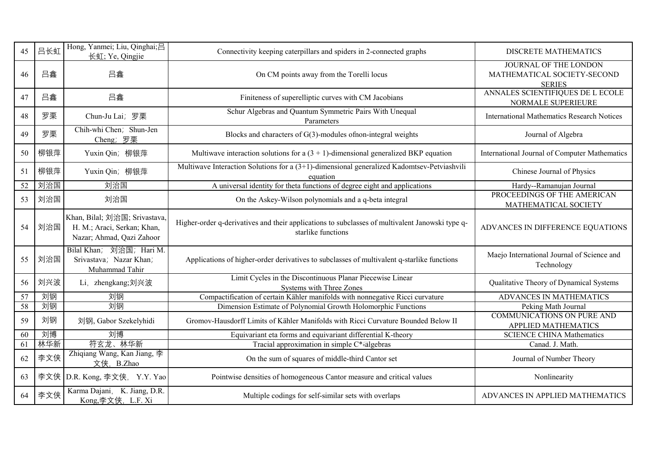| 45              | 吕长虹 | Hong, Yanmei; Liu, Qinghai;吕<br>长虹; Ye, Qingjie                                           | Connectivity keeping caterpillars and spiders in 2-connected graphs                                                   | <b>DISCRETE MATHEMATICS</b>                                           |
|-----------------|-----|-------------------------------------------------------------------------------------------|-----------------------------------------------------------------------------------------------------------------------|-----------------------------------------------------------------------|
| 46              | 吕鑫  | 吕鑫                                                                                        | On CM points away from the Torelli locus                                                                              | JOURNAL OF THE LONDON<br>MATHEMATICAL SOCIETY-SECOND<br><b>SERIES</b> |
| 47              | 吕鑫  | 吕鑫                                                                                        | Finiteness of superelliptic curves with CM Jacobians                                                                  | ANNALES SCIENTIFIQUES DE L ECOLE<br>NORMALE SUPERIEURE                |
| 48              | 罗栗  | Chun-Ju Lai; 罗栗                                                                           | Schur Algebras and Quantum Symmetric Pairs With Unequal<br>Parameters                                                 | <b>International Mathematics Research Notices</b>                     |
| 49              | 罗栗  | Chih-whi Chen; Shun-Jen<br>Cheng; 罗栗                                                      | Blocks and characters of $G(3)$ -modules of non-integral weights                                                      | Journal of Algebra                                                    |
| 50              | 柳银萍 | Yuxin Qin; 柳银萍                                                                            | Multiwave interaction solutions for a $(3 + 1)$ -dimensional generalized BKP equation                                 | International Journal of Computer Mathematics                         |
| 51              | 柳银萍 | Yuxin Qin; 柳银萍                                                                            | Multiwave Interaction Solutions for a (3+1)-dimensional generalized Kadomtsev-Petviashvili<br>equation                | Chinese Journal of Physics                                            |
| 52              | 刘治国 | 刘治国                                                                                       | A universal identity for theta functions of degree eight and applications                                             | Hardy--Ramanujan Journal                                              |
| 53              | 刘治国 | 刘治国                                                                                       | On the Askey-Wilson polynomials and a q-beta integral                                                                 | PROCEEDINGS OF THE AMERICAN<br>MATHEMATICAL SOCIETY                   |
| 54              | 刘治国 | Khan, Bilal; 刘治国; Srivastava,<br>H. M.; Araci, Serkan; Khan,<br>Nazar; Ahmad, Qazi Zahoor | Higher-order q-derivatives and their applications to subclasses of multivalent Janowski type q-<br>starlike functions | ADVANCES IN DIFFERENCE EQUATIONS                                      |
| 55              | 刘治国 | Bilal Khan; 刘治国; Hari M.<br>Srivastava; Nazar Khan;<br>Muhammad Tahir                     | Applications of higher-order derivatives to subclasses of multivalent q-starlike functions                            | Maejo International Journal of Science and<br>Technology              |
| 56              | 刘兴波 | Li, zhengkang;刘兴波                                                                         | Limit Cycles in the Discontinuous Planar Piecewise Linear<br>Systems with Three Zones                                 | Qualitative Theory of Dynamical Systems                               |
| $\overline{57}$ | 刘钢  | 刘钢                                                                                        | Compactification of certain Kähler manifolds with nonnegative Ricci curvature                                         | ADVANCES IN MATHEMATICS                                               |
| $\overline{58}$ | 刘钢  | 刘钢                                                                                        | Dimension Estimate of Polynomial Growth Holomorphic Functions                                                         | Peking Math Journal                                                   |
| 59              | 刘钢  | 刘钢, Gabor Szekelyhidi                                                                     | Gromov-Hausdorff Limits of Kähler Manifolds with Ricci Curvature Bounded Below II                                     | <b>COMMUNICATIONS ON PURE AND</b><br>APPLIED MATHEMATICS              |
| 60              | 刘博  | 刘博                                                                                        | Equivariant eta forms and equivariant differential K-theory                                                           | <b>SCIENCE CHINA Mathematics</b>                                      |
| 61              | 林华新 | 符玄龙、林华新                                                                                   | Tracial approximation in simple C*Falgebras                                                                           | Canad. J. Math.                                                       |
| 62              | 李文侠 | Zhiqiang Wang, Kan Jiang, 李<br>文侠, B.Zhao                                                 | On the sum of squares of middle-third Cantor set                                                                      | Journal of Number Theory                                              |
| 63              |     | 李文侠 D.R. Kong, 李文侠, Y.Y. Yao                                                              | Pointwise densities of homogeneous Cantor measure and critical values                                                 | Nonlinearity                                                          |
| 64              | 李文侠 | Karma Dajani, K. Jiang, D.R.<br>Kong,李文侠, L.F. Xi                                         | Multiple codings for self-similar sets with overlaps                                                                  | ADVANCES IN APPLIED MATHEMATICS                                       |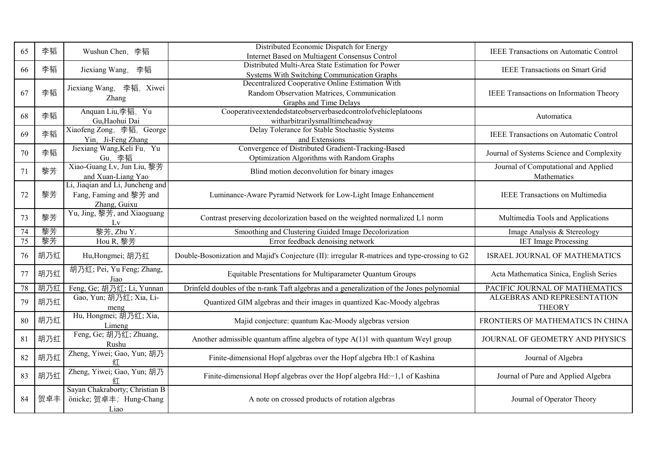| 65 | 李韬  | Wushun Chen, 李韬                                                             | Distributed Economic Dispatch for Energy<br>Internet Based on Multiagent Consensus Control                               | <b>IEEE Transactions on Automatic Control</b>       |
|----|-----|-----------------------------------------------------------------------------|--------------------------------------------------------------------------------------------------------------------------|-----------------------------------------------------|
| 66 | 李韬  | Jiexiang Wang,<br>李韬                                                        | Distributed Multi-Area State Estimation for Power<br>Systems With Switching Communication Graphs                         | <b>IEEE Transactions on Smart Grid</b>              |
| 67 | 李韬  | Jiexiang Wang, 李韬, Xiwei<br>Zhang                                           | Decentralized Cooperative Online Estimation With<br>Random Observation Matrices, Communication<br>Graphs and Time Delays | IEEE Transactions on Information Theory             |
| 68 | 李韬  | Anquan Liu,李韬, Yu<br>Gu, Haohui Dai                                         | Cooperativeextendedstateobserverbasedcontrolofvehicleplatoons<br>witharbitrarilysmalltimeheadway                         | Automatica                                          |
| 69 | 李韬  | Xiaofeng Zong, 李韬, George<br>Yin, Ji-Feng Zhang                             | Delay Tolerance for Stable Stochastic Systems<br>and Extensions                                                          | <b>IEEE Transactions on Automatic Control</b>       |
| 70 | 李韬  | Jiexiang Wang, Keli Fu, Yu<br><b>Gu, 李韬</b>                                 | Convergence of Distributed Gradient-Tracking-Based<br>Optimization Algorithms with Random Graphs                         | Journal of Systems Science and Complexity           |
| 71 | 黎芳  | Xiao-Guang Lv, Jun Liu, 黎芳<br>and Xuan-Liang Yao                            | Blind motion deconvolution for binary images                                                                             | Journal of Computational and Applied<br>Mathematics |
| 72 | 黎芳  | Li, Jiaqian and Li, Juncheng and<br>Fang, Faming and 黎芳 and<br>Zhang, Guixu | Luminance-Aware Pyramid Network for Low-Light Image Enhancement                                                          | <b>IEEE Transactions on Multimedia</b>              |
| 73 | 黎芳  | Yu, Jing, 黎芳, and Xiaoguang<br>Lv                                           | Contrast preserving decolorization based on the weighted normalized L1 norm                                              | Multimedia Tools and Applications                   |
| 74 | 黎芳  | 黎芳, Zhu Y.                                                                  | Smoothing and Clustering Guided Image Decolorization                                                                     | Image Analysis & Stereology                         |
| 75 | 黎芳  | Hou R, 黎芳                                                                   | Error feedback denoising network                                                                                         | <b>IET Image Processing</b>                         |
| 76 | 胡乃红 | Hu, Hongmei; 胡乃红                                                            | Double-Bosonization and Majid's Conjecture (II): irregular R-matrices and type-crossing to G2                            | ISRAEL JOURNAL OF MATHEMATICS                       |
| 77 | 胡乃红 | 胡乃红; Pei, Yu Feng; Zhang,<br>Jiao                                           | Equitable Presentations for Multiparameter Quantum Groups                                                                | Acta Mathematica Sinica, English Series             |
| 78 | 胡乃红 | Feng, Ge; 胡乃红; Li, Yunnan                                                   | Drinfeld doubles of the n-rank Taft algebras and a generalization of the Jones polynomial                                | PACIFIC JOURNAL OF MATHEMATICS                      |
| 79 | 胡乃红 | Gao, Yun; 胡乃红; Xia, Li-<br>meng                                             | Quantized GIM algebras and their images in quantized Kac-Moody algebras                                                  | ALGEBRAS AND REPRESENTATION<br><b>THEORY</b>        |
| 80 | 胡乃红 | Hu, Hongmei; 胡乃红; Xia,<br>Limeng                                            | Majid conjecture: quantum Kac-Moody algebras version                                                                     | FRONTIERS OF MATHEMATICS IN CHINA                   |
| 81 | 胡乃红 | Feng, Ge; 胡乃红; Zhuang,<br>Rushu                                             | Another admissible quantum affine algebra of type $A(1)1$ with quantum Weyl group                                        | JOURNAL OF GEOMETRY AND PHYSICS                     |
| 82 | 胡乃红 | Zheng, Yiwei; Gao, Yun; 胡乃<br>红                                             | Finite-dimensional Hopf algebras over the Hopf algebra Hb:1 of Kashina                                                   | Journal of Algebra                                  |
| 83 | 胡乃红 | Zheng, Yiwei; Gao, Yun; 胡乃                                                  | Finite-dimensional Hopf algebras over the Hopf algebra Hd:-1,1 of Kashina                                                | Journal of Pure and Applied Algebra                 |
| 84 | 贺卓丰 | Sayan Chakraborty; Christian B<br>önicke; 贺卓丰; Hung-Chang<br>Liao           | A note on crossed products of rotation algebras                                                                          | Journal of Operator Theory                          |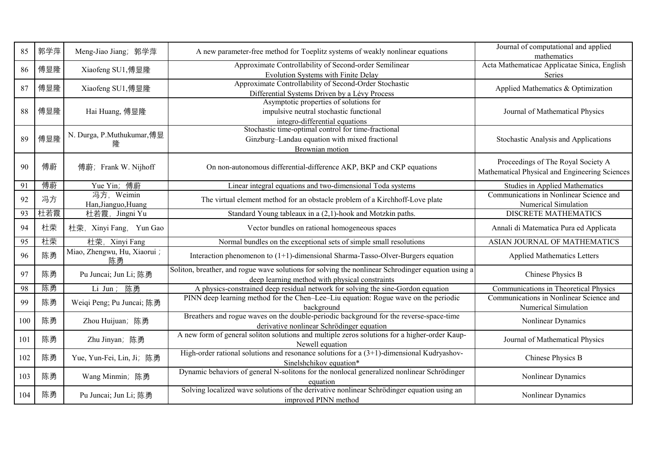| 85  | 郭学萍 | Meng-Jiao Jiang; 郭学萍               | A new parameter-free method for Toeplitz systems of weakly nonlinear equations                                                                       | Journal of computational and applied<br>mathematics                       |
|-----|-----|------------------------------------|------------------------------------------------------------------------------------------------------------------------------------------------------|---------------------------------------------------------------------------|
| 86  | 傅显隆 | Xiaofeng SU1,傅显隆                   | Approximate Controllability of Second-order Semilinear                                                                                               | Acta Mathematicae Applicatae Sinica, English                              |
|     |     |                                    | Evolution Systems with Finite Delay                                                                                                                  | Series                                                                    |
| 87  | 傅显隆 | Xiaofeng SU1,傅显隆                   | Approximate Controllability of Second-Order Stochastic                                                                                               | Applied Mathematics & Optimization                                        |
|     |     |                                    | Differential Systems Driven by a Lévy Process                                                                                                        |                                                                           |
|     |     |                                    | Asymptotic properties of solutions for                                                                                                               |                                                                           |
| 88  | 傅显隆 | Hai Huang, 傅显隆                     | impulsive neutral stochastic functional                                                                                                              | Journal of Mathematical Physics                                           |
|     |     |                                    | integro-differential equations                                                                                                                       |                                                                           |
|     |     | N. Durga, P.Muthukumar,傅显          | Stochastic time-optimal control for time-fractional                                                                                                  |                                                                           |
| 89  | 傅显隆 | 隆                                  | Ginzburg-Landau equation with mixed fractional                                                                                                       | Stochastic Analysis and Applications                                      |
|     |     |                                    | Brownian motion                                                                                                                                      |                                                                           |
|     |     |                                    |                                                                                                                                                      | Proceedings of The Royal Society A                                        |
| 90  | 傅蔚  | 傅蔚; Frank W. Nijhoff               | On non-autonomous differential-difference AKP, BKP and CKP equations                                                                                 | Mathematical Physical and Engineering Sciences                            |
| 91  | 傅蔚  |                                    |                                                                                                                                                      |                                                                           |
|     |     | Yue Yin; 傅蔚<br>冯方, Weimin          | Linear integral equations and two-dimensional Toda systems                                                                                           | Studies in Applied Mathematics<br>Communications in Nonlinear Science and |
| 92  | 冯方  | Han, Jianguo, Huang                | The virtual element method for an obstacle problem of a Kirchhoff-Love plate                                                                         | Numerical Simulation                                                      |
| 93  | 杜若霞 | 杜若霞, Jingni Yu                     | Standard Young tableaux in a (2,1)-hook and Motzkin paths.                                                                                           | DISCRETE MATHEMATICS                                                      |
|     |     |                                    |                                                                                                                                                      |                                                                           |
| 94  | 杜荣  | 杜荣, Xinyi Fang, Yun Gao            | Vector bundles on rational homogeneous spaces                                                                                                        | Annali di Matematica Pura ed Applicata                                    |
| 95  | 杜荣  | 杜荣, Xinyi Fang                     | Normal bundles on the exceptional sets of simple small resolutions                                                                                   | ASIAN JOURNAL OF MATHEMATICS                                              |
| 96  | 陈勇  | Miao, Zhengwu, Hu, Xiaorui ;<br>陈勇 | Interaction phenomenon to $(1+1)$ -dimensional Sharma-Tasso-Olver-Burgers equation                                                                   | <b>Applied Mathematics Letters</b>                                        |
| 97  | 陈勇  | Pu Juncai; Jun Li; 陈勇              | Soliton, breather, and rogue wave solutions for solving the nonlinear Schrodinger equation using a<br>deep learning method with physical constraints | Chinese Physics B                                                         |
| 98  | 陈勇  | 陈勇<br>Li Jun;                      | A physics-constrained deep residual network for solving the sine-Gordon equation                                                                     | Communications in Theoretical Physics                                     |
|     |     |                                    | PINN deep learning method for the Chen-Lee-Liu equation: Rogue wave on the periodic                                                                  | Communications in Nonlinear Science and                                   |
| 99  | 陈勇  | Weiqi Peng; Pu Juncai; 陈勇          | background                                                                                                                                           | Numerical Simulation                                                      |
|     |     |                                    | Breathers and rogue waves on the double-periodic background for the reverse-space-time                                                               |                                                                           |
| 100 | 陈勇  | Zhou Huijuan; 陈勇                   | derivative nonlinear Schrödinger equation                                                                                                            | Nonlinear Dynamics                                                        |
|     |     |                                    | A new form of general soliton solutions and multiple zeros solutions for a higher-order Kaup-                                                        |                                                                           |
| 101 | 陈勇  | Zhu Jinyan; 陈勇                     | Newell equation                                                                                                                                      | Journal of Mathematical Physics                                           |
|     | 陈勇  |                                    | High-order rational solutions and resonance solutions for a $(3+1)$ -dimensional Kudryashov-                                                         |                                                                           |
| 102 |     | Yue, Yun-Fei, Lin, Ji; 陈勇          | Sinelshchikov equation*                                                                                                                              | Chinese Physics B                                                         |
| 103 | 陈勇  | Wang Minmin; 陈勇                    | Dynamic behaviors of general N-solitons for the nonlocal generalized nonlinear Schrödinger                                                           | Nonlinear Dynamics                                                        |
|     |     |                                    | equation                                                                                                                                             |                                                                           |
| 104 | 陈勇  | Pu Juncai; Jun Li; 陈勇              | Solving localized wave solutions of the derivative nonlinear Schrödinger equation using an                                                           | Nonlinear Dynamics                                                        |
|     |     |                                    | improved PINN method                                                                                                                                 |                                                                           |